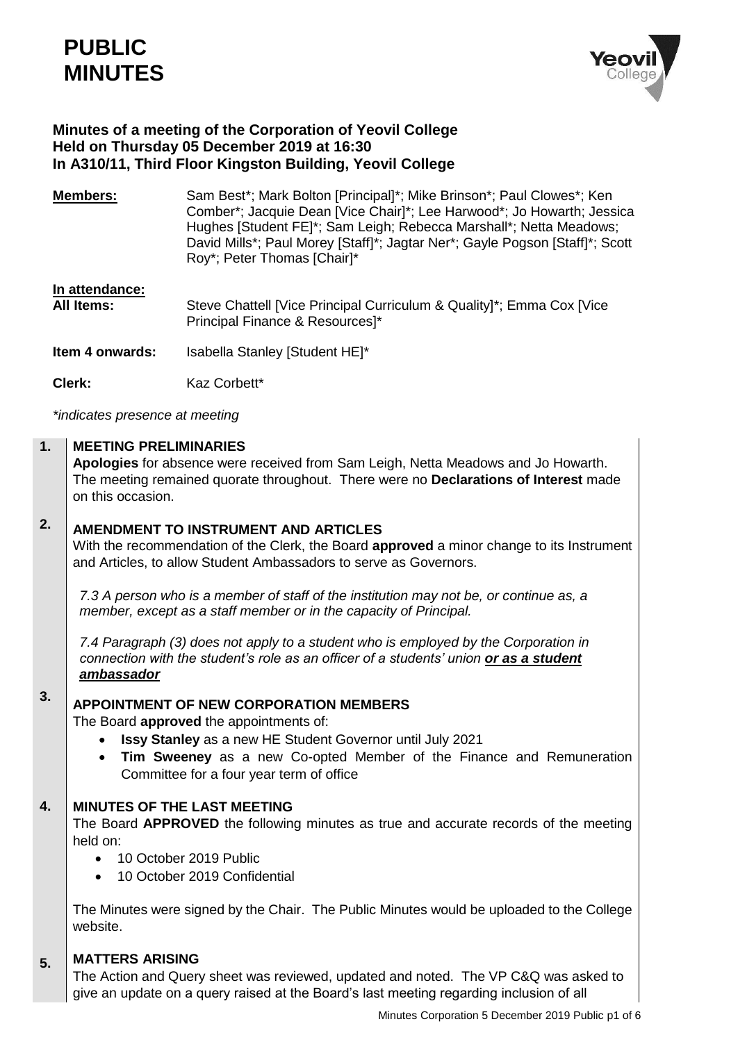# **PUBLIC MINUTES**



### **Minutes of a meeting of the Corporation of Yeovil College Held on Thursday 05 December 2019 at 16:30 In A310/11, Third Floor Kingston Building, Yeovil College**

**Members:** Sam Best<sup>\*</sup>; Mark Bolton [Principal]<sup>\*</sup>; Mike Brinson<sup>\*</sup>; Paul Clowes<sup>\*</sup>; Ken Comber\*; Jacquie Dean [Vice Chair]\*; Lee Harwood\*; Jo Howarth; Jessica Hughes [Student FE]\*; Sam Leigh; Rebecca Marshall\*; Netta Meadows; David Mills\*; Paul Morey [Staff]\*; Jagtar Ner\*; Gayle Pogson [Staff]\*; Scott Roy\*; Peter Thomas [Chair]\*

| In attendance:         | Steve Chattell [Vice Principal Curriculum & Quality]*; Emma Cox [Vice |
|------------------------|-----------------------------------------------------------------------|
| <b>All Items:</b>      | Principal Finance & Resources]*                                       |
| <b>Item 4 onwards:</b> | Isabella Stanley [Student HE]*                                        |

**Clerk:** Kaz Corbett\*

*\*indicates presence at meeting*

#### **1. MEETING PRELIMINARIES**

**Apologies** for absence were received from Sam Leigh, Netta Meadows and Jo Howarth. The meeting remained quorate throughout. There were no **Declarations of Interest** made on this occasion.

### **2. AMENDMENT TO INSTRUMENT AND ARTICLES**

With the recommendation of the Clerk, the Board **approved** a minor change to its Instrument and Articles, to allow Student Ambassadors to serve as Governors.

*7.3 A person who is a member of staff of the institution may not be, or continue as, a member, except as a staff member or in the capacity of Principal.*

*7.4 Paragraph (3) does not apply to a student who is employed by the Corporation in connection with the student's role as an officer of a students' union or as a student ambassador* 

### **3. APPOINTMENT OF NEW CORPORATION MEMBERS**

The Board **approved** the appointments of:

- **Issy Stanley** as a new HE Student Governor until July 2021
- **Tim Sweeney** as a new Co-opted Member of the Finance and Remuneration Committee for a four year term of office

#### **4. MINUTES OF THE LAST MEETING**

The Board **APPROVED** the following minutes as true and accurate records of the meeting held on:

- 10 October 2019 Public
- 10 October 2019 Confidential

The Minutes were signed by the Chair. The Public Minutes would be uploaded to the College website.

#### **5. MATTERS ARISING**

The Action and Query sheet was reviewed, updated and noted. The VP C&Q was asked to give an update on a query raised at the Board's last meeting regarding inclusion of all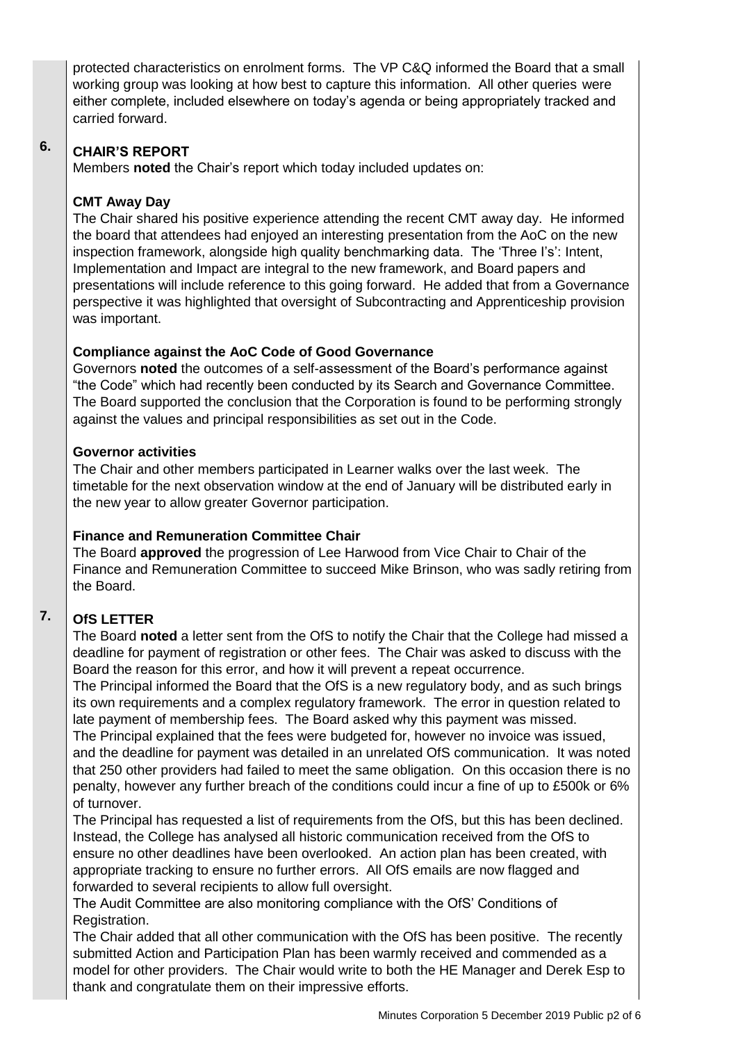protected characteristics on enrolment forms. The VP C&Q informed the Board that a small working group was looking at how best to capture this information. All other queries were either complete, included elsewhere on today's agenda or being appropriately tracked and carried forward.

#### **6. CHAIR'S REPORT**

Members **noted** the Chair's report which today included updates on:

# **CMT Away Day**

The Chair shared his positive experience attending the recent CMT away day. He informed the board that attendees had enjoyed an interesting presentation from the AoC on the new inspection framework, alongside high quality benchmarking data. The 'Three I's': Intent, Implementation and Impact are integral to the new framework, and Board papers and presentations will include reference to this going forward. He added that from a Governance perspective it was highlighted that oversight of Subcontracting and Apprenticeship provision was important.

# **Compliance against the AoC Code of Good Governance**

Governors **noted** the outcomes of a self-assessment of the Board's performance against "the Code" which had recently been conducted by its Search and Governance Committee. The Board supported the conclusion that the Corporation is found to be performing strongly against the values and principal responsibilities as set out in the Code.

### **Governor activities**

The Chair and other members participated in Learner walks over the last week. The timetable for the next observation window at the end of January will be distributed early in the new year to allow greater Governor participation.

# **Finance and Remuneration Committee Chair**

The Board **approved** the progression of Lee Harwood from Vice Chair to Chair of the Finance and Remuneration Committee to succeed Mike Brinson, who was sadly retiring from the Board.

#### **7. OfS LETTER**

The Board **noted** a letter sent from the OfS to notify the Chair that the College had missed a deadline for payment of registration or other fees. The Chair was asked to discuss with the Board the reason for this error, and how it will prevent a repeat occurrence.

The Principal informed the Board that the OfS is a new regulatory body, and as such brings its own requirements and a complex regulatory framework. The error in question related to late payment of membership fees. The Board asked why this payment was missed.

The Principal explained that the fees were budgeted for, however no invoice was issued, and the deadline for payment was detailed in an unrelated OfS communication. It was noted that 250 other providers had failed to meet the same obligation. On this occasion there is no penalty, however any further breach of the conditions could incur a fine of up to £500k or 6% of turnover.

The Principal has requested a list of requirements from the OfS, but this has been declined. Instead, the College has analysed all historic communication received from the OfS to ensure no other deadlines have been overlooked. An action plan has been created, with appropriate tracking to ensure no further errors. All OfS emails are now flagged and forwarded to several recipients to allow full oversight.

The Audit Committee are also monitoring compliance with the OfS' Conditions of Registration.

The Chair added that all other communication with the OfS has been positive. The recently submitted Action and Participation Plan has been warmly received and commended as a model for other providers. The Chair would write to both the HE Manager and Derek Esp to thank and congratulate them on their impressive efforts.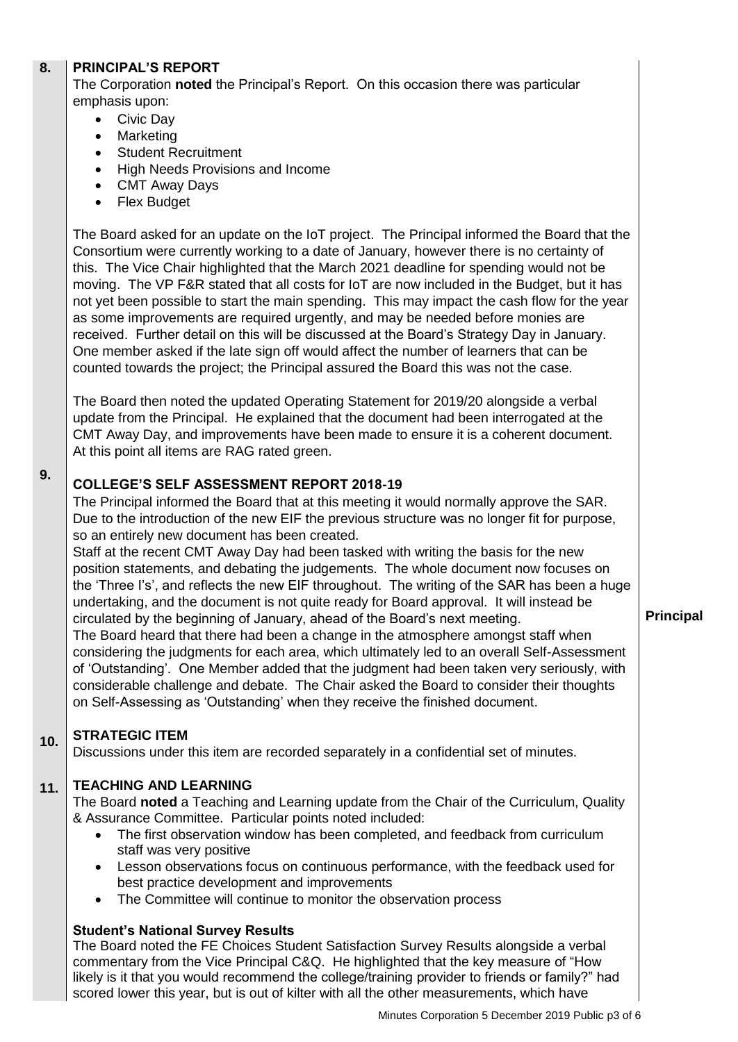#### **8. PRINCIPAL'S REPORT**

The Corporation **noted** the Principal's Report. On this occasion there was particular emphasis upon:

- Civic Day
- Marketing
- Student Recruitment
- High Needs Provisions and Income
- CMT Away Days
- Flex Budget

The Board asked for an update on the IoT project. The Principal informed the Board that the Consortium were currently working to a date of January, however there is no certainty of this. The Vice Chair highlighted that the March 2021 deadline for spending would not be moving. The VP F&R stated that all costs for IoT are now included in the Budget, but it has not yet been possible to start the main spending. This may impact the cash flow for the year as some improvements are required urgently, and may be needed before monies are received. Further detail on this will be discussed at the Board's Strategy Day in January. One member asked if the late sign off would affect the number of learners that can be counted towards the project; the Principal assured the Board this was not the case.

The Board then noted the updated Operating Statement for 2019/20 alongside a verbal update from the Principal. He explained that the document had been interrogated at the CMT Away Day, and improvements have been made to ensure it is a coherent document. At this point all items are RAG rated green.

# **COLLEGE'S SELF ASSESSMENT REPORT 2018-19**

The Principal informed the Board that at this meeting it would normally approve the SAR. Due to the introduction of the new EIF the previous structure was no longer fit for purpose, so an entirely new document has been created.

Staff at the recent CMT Away Day had been tasked with writing the basis for the new position statements, and debating the judgements. The whole document now focuses on the 'Three I's', and reflects the new EIF throughout. The writing of the SAR has been a huge undertaking, and the document is not quite ready for Board approval. It will instead be circulated by the beginning of January, ahead of the Board's next meeting.

The Board heard that there had been a change in the atmosphere amongst staff when considering the judgments for each area, which ultimately led to an overall Self-Assessment of 'Outstanding'. One Member added that the judgment had been taken very seriously, with considerable challenge and debate. The Chair asked the Board to consider their thoughts on Self-Assessing as 'Outstanding' when they receive the finished document.

#### **10. STRATEGIC ITEM**

**9.**

Discussions under this item are recorded separately in a confidential set of minutes.

#### **11. TEACHING AND LEARNING**

The Board **noted** a Teaching and Learning update from the Chair of the Curriculum, Quality & Assurance Committee. Particular points noted included:

- The first observation window has been completed, and feedback from curriculum staff was very positive
- Lesson observations focus on continuous performance, with the feedback used for best practice development and improvements
- The Committee will continue to monitor the observation process

### **Student's National Survey Results**

The Board noted the FE Choices Student Satisfaction Survey Results alongside a verbal commentary from the Vice Principal C&Q. He highlighted that the key measure of "How likely is it that you would recommend the college/training provider to friends or family?" had scored lower this year, but is out of kilter with all the other measurements, which have

### **Principal**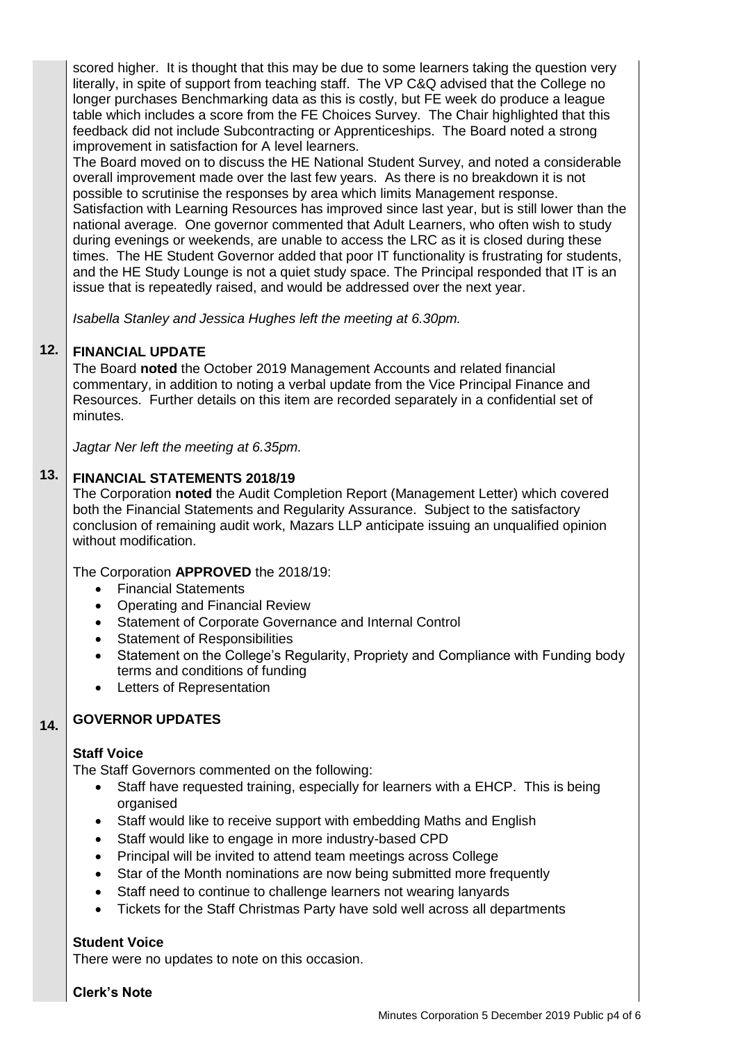scored higher. It is thought that this may be due to some learners taking the question very literally, in spite of support from teaching staff. The VP C&Q advised that the College no longer purchases Benchmarking data as this is costly, but FE week do produce a league table which includes a score from the FE Choices Survey. The Chair highlighted that this feedback did not include Subcontracting or Apprenticeships. The Board noted a strong improvement in satisfaction for A level learners.

The Board moved on to discuss the HE National Student Survey, and noted a considerable overall improvement made over the last few years. As there is no breakdown it is not possible to scrutinise the responses by area which limits Management response. Satisfaction with Learning Resources has improved since last year, but is still lower than the national average. One governor commented that Adult Learners, who often wish to study during evenings or weekends, are unable to access the LRC as it is closed during these times. The HE Student Governor added that poor IT functionality is frustrating for students, and the HE Study Lounge is not a quiet study space. The Principal responded that IT is an issue that is repeatedly raised, and would be addressed over the next year.

*Isabella Stanley and Jessica Hughes left the meeting at 6.30pm.*

#### **12. FINANCIAL UPDATE**

The Board **noted** the October 2019 Management Accounts and related financial commentary, in addition to noting a verbal update from the Vice Principal Finance and Resources. Further details on this item are recorded separately in a confidential set of minutes.

*Jagtar Ner left the meeting at 6.35pm.*

#### **13. FINANCIAL STATEMENTS 2018/19**

The Corporation **noted** the Audit Completion Report (Management Letter) which covered both the Financial Statements and Regularity Assurance. Subject to the satisfactory conclusion of remaining audit work, Mazars LLP anticipate issuing an unqualified opinion without modification.

The Corporation **APPROVED** the 2018/19:

- Financial Statements
- Operating and Financial Review
- Statement of Corporate Governance and Internal Control
- Statement of Responsibilities
- Statement on the College's Regularity, Propriety and Compliance with Funding body terms and conditions of funding
- Letters of Representation

#### **14. GOVERNOR UPDATES**

### **Staff Voice**

The Staff Governors commented on the following:

- Staff have requested training, especially for learners with a EHCP. This is being organised
- Staff would like to receive support with embedding Maths and English
- Staff would like to engage in more industry-based CPD
- Principal will be invited to attend team meetings across College
- Star of the Month nominations are now being submitted more frequently
- Staff need to continue to challenge learners not wearing lanyards
- Tickets for the Staff Christmas Party have sold well across all departments

### **Student Voice**

There were no updates to note on this occasion.

**Clerk's Note**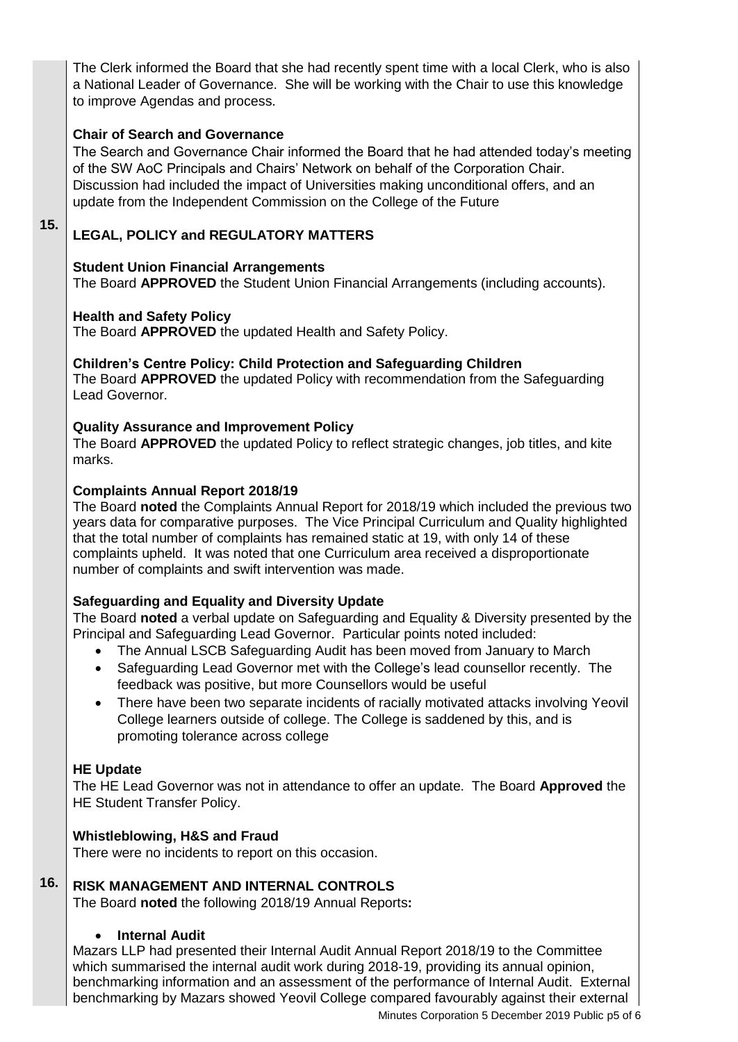The Clerk informed the Board that she had recently spent time with a local Clerk, who is also a National Leader of Governance. She will be working with the Chair to use this knowledge to improve Agendas and process.

# **Chair of Search and Governance**

The Search and Governance Chair informed the Board that he had attended today's meeting of the SW AoC Principals and Chairs' Network on behalf of the Corporation Chair. Discussion had included the impact of Universities making unconditional offers, and an update from the Independent Commission on the College of the Future

### **15. LEGAL, POLICY and REGULATORY MATTERS**

# **Student Union Financial Arrangements**

The Board **APPROVED** the Student Union Financial Arrangements (including accounts).

# **Health and Safety Policy**

The Board **APPROVED** the updated Health and Safety Policy.

### **Children's Centre Policy: Child Protection and Safeguarding Children**

The Board **APPROVED** the updated Policy with recommendation from the Safeguarding Lead Governor.

# **Quality Assurance and Improvement Policy**

The Board **APPROVED** the updated Policy to reflect strategic changes, job titles, and kite marks.

### **Complaints Annual Report 2018/19**

The Board **noted** the Complaints Annual Report for 2018/19 which included the previous two years data for comparative purposes. The Vice Principal Curriculum and Quality highlighted that the total number of complaints has remained static at 19, with only 14 of these complaints upheld. It was noted that one Curriculum area received a disproportionate number of complaints and swift intervention was made.

# **Safeguarding and Equality and Diversity Update**

The Board **noted** a verbal update on Safeguarding and Equality & Diversity presented by the Principal and Safeguarding Lead Governor. Particular points noted included:

- The Annual LSCB Safeguarding Audit has been moved from January to March
- Safeguarding Lead Governor met with the College's lead counsellor recently. The feedback was positive, but more Counsellors would be useful
- There have been two separate incidents of racially motivated attacks involving Yeovil College learners outside of college. The College is saddened by this, and is promoting tolerance across college

# **HE Update**

The HE Lead Governor was not in attendance to offer an update. The Board **Approved** the HE Student Transfer Policy.

# **Whistleblowing, H&S and Fraud**

There were no incidents to report on this occasion.

#### **16. RISK MANAGEMENT AND INTERNAL CONTROLS**

The Board **noted** the following 2018/19 Annual Reports**:**

# **Internal Audit**

Mazars LLP had presented their Internal Audit Annual Report 2018/19 to the Committee which summarised the internal audit work during 2018-19, providing its annual opinion, benchmarking information and an assessment of the performance of Internal Audit. External benchmarking by Mazars showed Yeovil College compared favourably against their external

Minutes Corporation 5 December 2019 Public p5 of 6